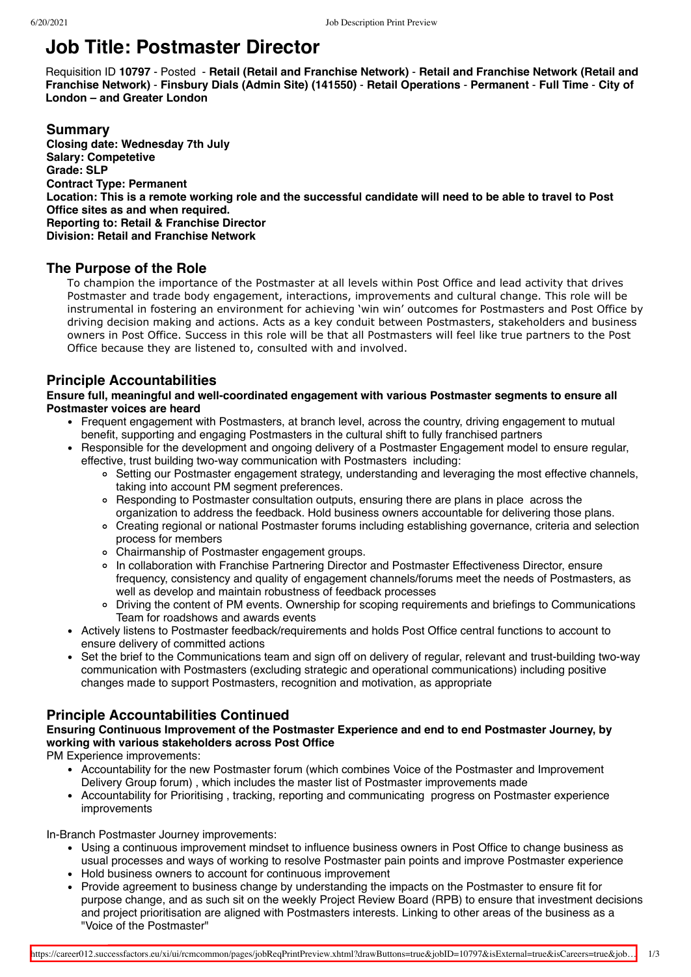# **Job Title: Postmaster Director**

Requisition ID **10797** - Posted - **Retail (Retail and Franchise Network)** - **Retail and Franchise Network (Retail and Franchise Network)** - **Finsbury Dials (Admin Site) (141550)** - **Retail Operations** - **Permanent** - **Full Time** - **City of London – and Greater London**

#### **Summary Closing date: Wednesday 7th July Salary: Competetive Grade: SLP Contract Type: Permanent Location: This is a remote working role and the successful candidate will need to be able to travel to Post Office sites as and when required. Reporting to: Retail & Franchise Director Division: Retail and Franchise Network**

## **The Purpose of the Role**

To champion the importance of the Postmaster at all levels within Post Office and lead activity that drives Postmaster and trade body engagement, interactions, improvements and cultural change. This role will be instrumental in fostering an environment for achieving 'win win' outcomes for Postmasters and Post Office by driving decision making and actions. Acts as a key conduit between Postmasters, stakeholders and business owners in Post Office. Success in this role will be that all Postmasters will feel like true partners to the Post Office because they are listened to, consulted with and involved.

## **Principle Accountabilities**

**Ensure full, meaningful and well-coordinated engagement with various Postmaster segments to ensure all Postmaster voices are heard**

- Frequent engagement with Postmasters, at branch level, across the country, driving engagement to mutual benefit, supporting and engaging Postmasters in the cultural shift to fully franchised partners
- Responsible for the development and ongoing delivery of a Postmaster Engagement model to ensure regular, effective, trust building two-way communication with Postmasters including:
	- Setting our Postmaster engagement strategy, understanding and leveraging the most effective channels, taking into account PM segment preferences.
	- Responding to Postmaster consultation outputs, ensuring there are plans in place across the organization to address the feedback. Hold business owners accountable for delivering those plans.
	- Creating regional or national Postmaster forums including establishing governance, criteria and selection process for members
	- Chairmanship of Postmaster engagement groups.
	- In collaboration with Franchise Partnering Director and Postmaster Effectiveness Director, ensure frequency, consistency and quality of engagement channels/forums meet the needs of Postmasters, as well as develop and maintain robustness of feedback processes
	- Driving the content of PM events. Ownership for scoping requirements and briefings to Communications Team for roadshows and awards events
- Actively listens to Postmaster feedback/requirements and holds Post Office central functions to account to ensure delivery of committed actions
- Set the brief to the Communications team and sign off on delivery of regular, relevant and trust-building two-way communication with Postmasters (excluding strategic and operational communications) including positive changes made to support Postmasters, recognition and motivation, as appropriate

## **Principle Accountabilities Continued**

## **Ensuring Continuous Improvement of the Postmaster Experience and end to end Postmaster Journey, by working with various stakeholders across Post Office**

PM Experience improvements:

- Accountability for the new Postmaster forum (which combines Voice of the Postmaster and Improvement Delivery Group forum) , which includes the master list of Postmaster improvements made
- Accountability for Prioritising , tracking, reporting and communicating progress on Postmaster experience improvements

In-Branch Postmaster Journey improvements:

- Using a continuous improvement mindset to influence business owners in Post Office to change business as usual processes and ways of working to resolve Postmaster pain points and improve Postmaster experience • Hold business owners to account for continuous improvement
- Provide agreement to business change by understanding the impacts on the Postmaster to ensure fit for purpose change, and as such sit on the weekly Project Review Board (RPB) to ensure that investment decisions and project prioritisation are aligned with Postmasters interests. Linking to other areas of the business as a "Voice of the Postmaster"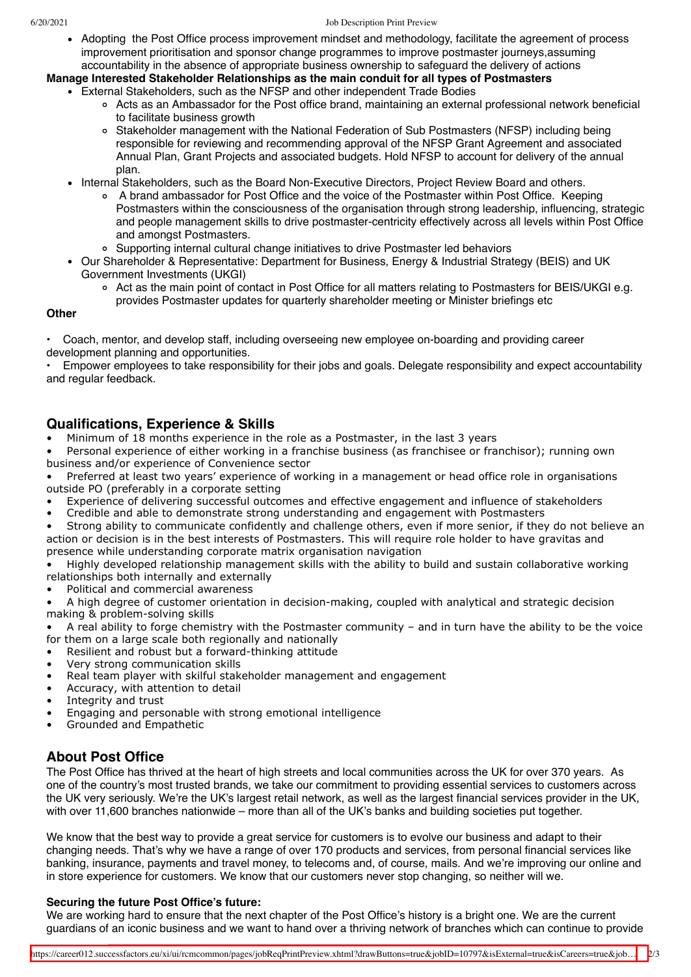Adopting the Post Office process improvement mindset and methodology, facilitate the agreement of process improvement prioritisation and sponsor change programmes to improve postmaster journeys,assuming accountability in the absence of appropriate business ownership to safeguard the delivery of actions

**Manage Interested Stakeholder Relationships as the main conduit for all types of Postmasters**

- External Stakeholders, such as the NFSP and other independent Trade Bodies
	- Acts as an Ambassador for the Post office brand, maintaining an external professional network beneficial to facilitate business growth
	- Stakeholder management with the National Federation of Sub Postmasters (NFSP) including being responsible for reviewing and recommending approval of the NFSP Grant Agreement and associated Annual Plan, Grant Projects and associated budgets. Hold NFSP to account for delivery of the annual plan.
	- Internal Stakeholders, such as the Board Non-Executive Directors, Project Review Board and others.
		- A brand ambassador for Post Office and the voice of the Postmaster within Post Office. Keeping Postmasters within the consciousness of the organisation through strong leadership, influencing, strategic and people management skills to drive postmaster-centricity effectively across all levels within Post Office and amongst Postmasters.
		- $\circ$ Supporting internal cultural change initiatives to drive Postmaster led behaviors
	- Our Shareholder & Representative: Department for Business, Energy & Industrial Strategy (BEIS) and UK Government Investments (UKGI)
		- Act as the main point of contact in Post Office for all matters relating to Postmasters for BEIS/UKGI e.g. provides Postmaster updates for quarterly shareholder meeting or Minister briefings etc

#### **Other**

• Coach, mentor, and develop staff, including overseeing new employee on-boarding and providing career development planning and opportunities.

• Empower employees to take responsibility for their jobs and goals. Delegate responsibility and expect accountability and regular feedback.

## **Qualifications, Experience & Skills**

• Minimum of 18 months experience in the role as a Postmaster, in the last 3 years

Personal experience of either working in a franchise business (as franchisee or franchisor); running own business and/or experience of Convenience sector

• Preferred at least two years' experience of working in a management or head office role in organisations outside PO (preferably in a corporate setting

- Experience of delivering successful outcomes and effective engagement and influence of stakeholders
- Credible and able to demonstrate strong understanding and engagement with Postmasters

• Strong ability to communicate confidently and challenge others, even if more senior, if they do not believe an action or decision is in the best interests of Postmasters. This will require role holder to have gravitas and presence while understanding corporate matrix organisation navigation

• Highly developed relationship management skills with the ability to build and sustain collaborative working relationships both internally and externally

Political and commercial awareness

• A high degree of customer orientation in decision-making, coupled with analytical and strategic decision making & problem-solving skills

• A real ability to forge chemistry with the Postmaster community – and in turn have the ability to be the voice for them on a large scale both regionally and nationally

- Resilient and robust but a forward-thinking attitude
- Very strong communication skills
- Real team player with skilful stakeholder management and engagement
- Accuracy, with attention to detail
- Integrity and trust
- Engaging and personable with strong emotional intelligence
- Grounded and Empathetic

## **About Post Office**

The Post Office has thrived at the heart of high streets and local communities across the UK for over 370 years. As one of the country's most trusted brands, we take our commitment to providing essential services to customers across the UK very seriously. We're the UK's largest retail network, as well as the largest financial services provider in the UK, with over 11,600 branches nationwide – more than all of the UK's banks and building societies put together.

We know that the best way to provide a great service for customers is to evolve our business and adapt to their changing needs. That's why we have a range of over 170 products and services, from personal financial services like banking, insurance, payments and travel money, to telecoms and, of course, mails. And we're improving our online and in store experience for customers. We know that our customers never stop changing, so neither will we.

#### **Securing the future Post Office's future:**

We are working hard to ensure that the next chapter of the Post Office's history is a bright one. We are the current guardians of an iconic business and we want to hand over a thriving network of branches which can continue to provide